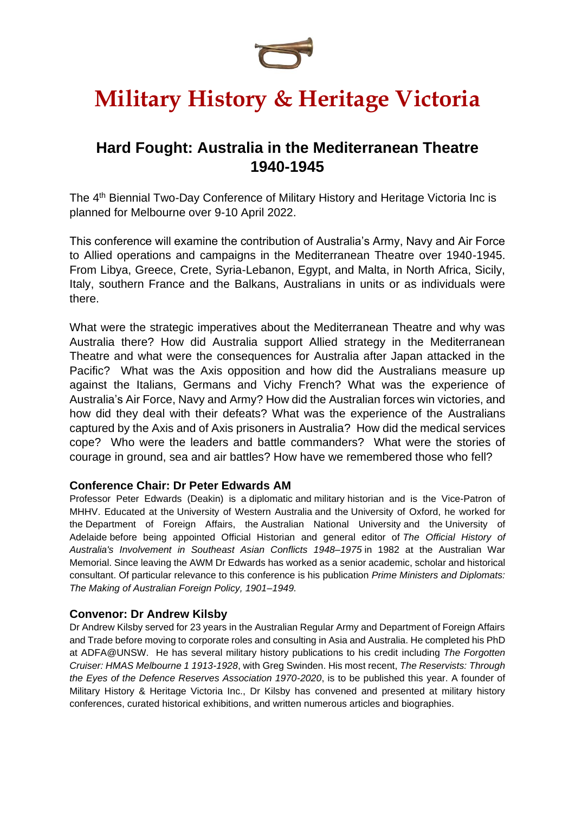

### **Hard Fought: Australia in the Mediterranean Theatre 1940-1945**

The 4<sup>th</sup> Biennial Two-Day Conference of Military History and Heritage Victoria Inc is planned for Melbourne over 9-10 April 2022.

This conference will examine the contribution of Australia's Army, Navy and Air Force to Allied operations and campaigns in the Mediterranean Theatre over 1940-1945. From Libya, Greece, Crete, Syria-Lebanon, Egypt, and Malta, in North Africa, Sicily, Italy, southern France and the Balkans, Australians in units or as individuals were there.

What were the strategic imperatives about the Mediterranean Theatre and why was Australia there? How did Australia support Allied strategy in the Mediterranean Theatre and what were the consequences for Australia after Japan attacked in the Pacific? What was the Axis opposition and how did the Australians measure up against the Italians, Germans and Vichy French? What was the experience of Australia's Air Force, Navy and Army? How did the Australian forces win victories, and how did they deal with their defeats? What was the experience of the Australians captured by the Axis and of Axis prisoners in Australia? How did the medical services cope? Who were the leaders and battle commanders? What were the stories of courage in ground, sea and air battles? How have we remembered those who fell?

#### **Conference Chair: Dr Peter Edwards AM**

Professor Peter Edwards (Deakin) is a [diplomatic](https://www.wikiwand.com/en/Diplomatic_history) and [military](https://www.wikiwand.com/en/Military_history) historian and is the Vice-Patron of MHHV. Educated at the [University](https://www.wikiwand.com/en/University_of_Western_Australia) of Western Australia and the [University](https://www.wikiwand.com/en/University_of_Oxford) of Oxford, he worked for the [Department](https://www.wikiwand.com/en/Department_of_Foreign_Affairs_and_Trade_(Australia)) of Foreign Affairs, the [Australian](https://www.wikiwand.com/en/Australian_National_University) National University and the [University](https://www.wikiwand.com/en/University_of_Adelaide) of [Adelaide](https://www.wikiwand.com/en/University_of_Adelaide) before being appointed Official Historian and general editor of *The Official [History](https://www.wikiwand.com/en/The_Official_History_of_Australia%27s_Involvement_in_Southeast_Asian_Conflicts_1948%E2%80%931975) of Australia's [Involvement](https://www.wikiwand.com/en/The_Official_History_of_Australia%27s_Involvement_in_Southeast_Asian_Conflicts_1948%E2%80%931975) in Southeast Asian Conflicts 1948–1975* in 1982 at the Australian War Memorial. Since leaving the AWM Dr Edwards has worked as a senior academic, scholar and historical consultant. Of particular relevance to this conference is his publication *[Prime Ministers and Diplomats:](https://archive.org/details/primeministersdi00edwa)  [The Making of Australian Foreign Policy, 1901–1949.](https://archive.org/details/primeministersdi00edwa)* 

#### **Convenor: Dr Andrew Kilsby**

Dr Andrew Kilsby served for 23 years in the Australian Regular Army and Department of Foreign Affairs and Trade before moving to corporate roles and consulting in Asia and Australia. He completed his PhD at ADFA@UNSW. He has several military history publications to his credit including *The Forgotten Cruiser: HMAS Melbourne 1 1913-1928*, with Greg Swinden. His most recent, *The Reservists: Through the Eyes of the Defence Reserves Association 1970-2020*, is to be published this year. A founder of Military History & Heritage Victoria Inc., Dr Kilsby has convened and presented at military history conferences, curated historical exhibitions, and written numerous articles and biographies.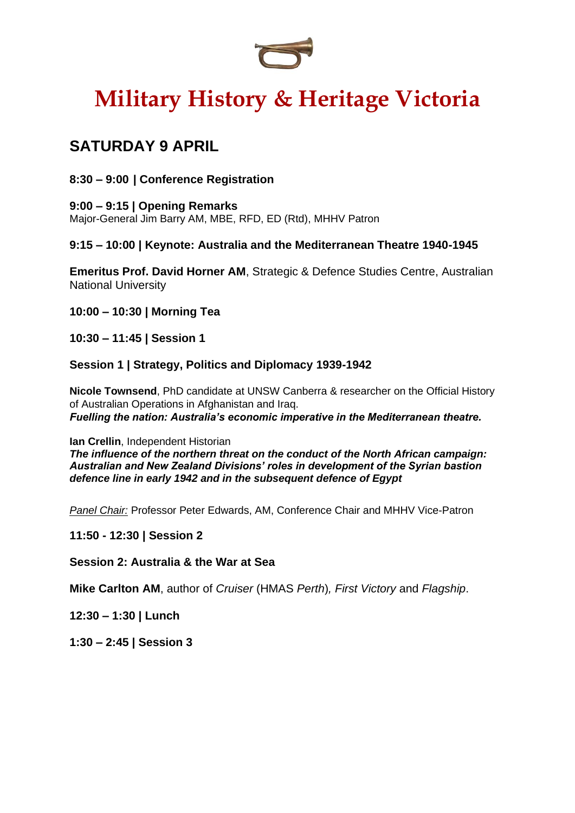

### **SATURDAY 9 APRIL**

#### **8:30 – 9:00 | Conference Registration**

### **9:00 – 9:15 | Opening Remarks**

Major-General Jim Barry AM, MBE, RFD, ED (Rtd), MHHV Patron

#### **9:15 – 10:00 | Keynote: Australia and the Mediterranean Theatre 1940-1945**

**Emeritus Prof. David Horner AM**, Strategic & Defence Studies Centre, Australian National University

- **10:00 – 10:30 | Morning Tea**
- **10:30 – 11:45 | Session 1**

#### **Session 1 | Strategy, Politics and Diplomacy 1939-1942**

**Nicole Townsend**, PhD candidate at UNSW Canberra & researcher on the Official History of Australian Operations in Afghanistan and Iraq. *Fuelling the nation: Australia's economic imperative in the Mediterranean theatre.*

#### **Ian Crellin**, Independent Historian

*The influence of the northern threat on the conduct of the North African campaign: Australian and New Zealand Divisions' roles in development of the Syrian bastion defence line in early 1942 and in the subsequent defence of Egypt*

*Panel Chair:* Professor Peter Edwards, AM, Conference Chair and MHHV Vice-Patron

#### **11:50 - 12:30 | Session 2**

**Session 2: Australia & the War at Sea**

**Mike Carlton AM**, author of *Cruiser* (HMAS *Perth*)*, First Victory* and *Flagship*.

**12:30 – 1:30 | Lunch**

**1:30 – 2:45 | Session 3**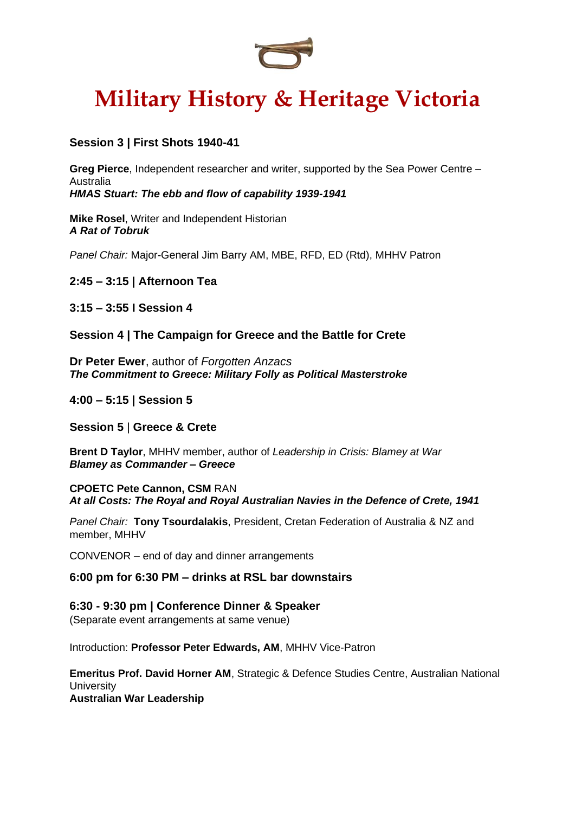

#### **Session 3 | First Shots 1940-41**

**Greg Pierce**, Independent researcher and writer, supported by the Sea Power Centre – Australia

*HMAS Stuart: The ebb and flow of capability 1939-1941*

**Mike Rosel**, Writer and Independent Historian *A Rat of Tobruk*

*Panel Chair:* Major-General Jim Barry AM, MBE, RFD, ED (Rtd), MHHV Patron

**2:45 – 3:15 | Afternoon Tea** 

**3:15 – 3:55 I Session 4**

**Session 4 | The Campaign for Greece and the Battle for Crete**

**Dr Peter Ewer**, author of *Forgotten Anzacs The Commitment to Greece: Military Folly as Political Masterstroke*

**4:00 – 5:15 | Session 5**

**Session 5** | **Greece & Crete**

**Brent D Taylor**, MHHV member, author of *Leadership in Crisis: Blamey at War Blamey as Commander – Greece*

**CPOETC Pete Cannon, CSM** RAN *At all Costs: The Royal and Royal Australian Navies in the Defence of Crete, 1941*

*Panel Chair:* **Tony Tsourdalakis**, President, Cretan Federation of Australia & NZ and member, MHHV

CONVENOR – end of day and dinner arrangements

**6:00 pm for 6:30 PM – drinks at RSL bar downstairs**

**6:30 - 9:30 pm | Conference Dinner & Speaker** (Separate event arrangements at same venue)

Introduction: **Professor Peter Edwards, AM**, MHHV Vice-Patron

**Emeritus Prof. David Horner AM**, Strategic & Defence Studies Centre, Australian National **University Australian War Leadership**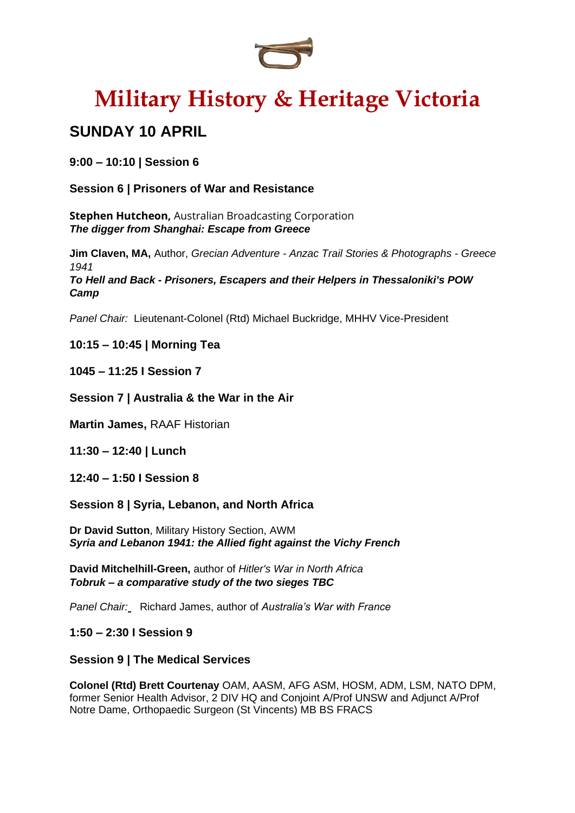

### **SUNDAY 10 APRIL**

**9:00 – 10:10 | Session 6**

**Session 6 | Prisoners of War and Resistance**

**Stephen Hutcheon,** Australian Broadcasting Corporation *The digger from Shanghai: Escape from Greece*

**Jim Claven, MA,** Author, *Grecian Adventure - Anzac Trail Stories & Photographs - Greece 1941 To Hell and Back - Prisoners, Escapers and their Helpers in Thessaloniki's POW Camp*

*Panel Chair:* Lieutenant-Colonel (Rtd) Michael Buckridge, MHHV Vice-President

#### **10:15 – 10:45 | Morning Tea**

**1045 – 11:25 I Session 7**

#### **Session 7 | Australia & the War in the Air**

**Martin James,** RAAF Historian

**11:30 – 12:40 | Lunch**

**12:40 – 1:50 I Session 8**

**Session 8 | Syria, Lebanon, and North Africa**

**Dr David Sutton**, Military History Section, AWM *Syria and Lebanon 1941: the Allied fight against the Vichy French*

**David Mitchelhill-Green,** author of *Hitler's War in North Africa Tobruk – a comparative study of the two sieges TBC*

*Panel Chair:* Richard James, author of *Australia's War with France*

**1:50 – 2:30 I Session 9**

#### **Session 9 | The Medical Services**

**Colonel (Rtd) Brett Courtenay** OAM, AASM, AFG ASM, HOSM, ADM, LSM, NATO DPM, former Senior Health Advisor, 2 DIV HQ and Conjoint A/Prof UNSW and Adjunct A/Prof Notre Dame, Orthopaedic Surgeon (St Vincents) MB BS FRACS